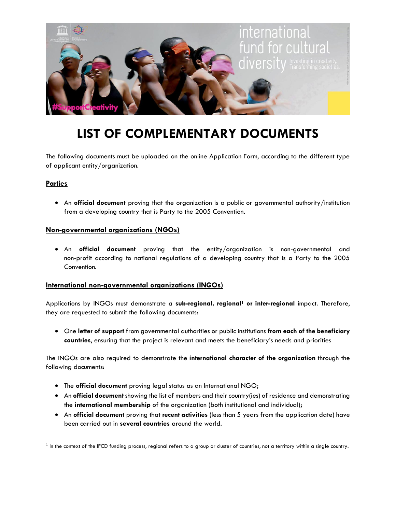

# **LIST OF COMPLEMENTARY DOCUMENTS**

The following documents must be uploaded on the online Application Form, according to the different type of applicant entity/organization.

# **Parties**

• An **official document** proving that the organization is a public or governmental authority/institution from a developing country that is Party to the 2005 Convention.

#### **Non-governmental organizations (NGOs)**

• An **official document** proving that the entity/organization is non-governmental and non-profit according to national regulations of a developing country that is a Party to the 2005 Convention.

## **International non-governmental organizations (INGOs)**

Applications by INGOs must demonstrate a **sub-regional, regional<sup>1</sup> or inter-regional** impact. Therefore, they are requested to submit the following documents:

• One **letter of support** from governmental authorities or public institutions **from each of the beneficiary countries**, ensuring that the project is relevant and meets the beneficiary's needs and priorities

The INGOs are also required to demonstrate the **international character of the organization** through the following documents:

- The **official document** proving legal status as an International NGO;
- An **official document** showing the list of members and their country(ies) of residence and demonstrating the **international membership** of the organization (both institutional and individual);
- An **official document** proving that **recent activities** (less than 5 years from the application date) have been carried out in **several countries** around the world.

 $^{\text{1}}$  In the context of the IFCD funding process, regional refers to a group or cluster of countries, not a territory within a single country.